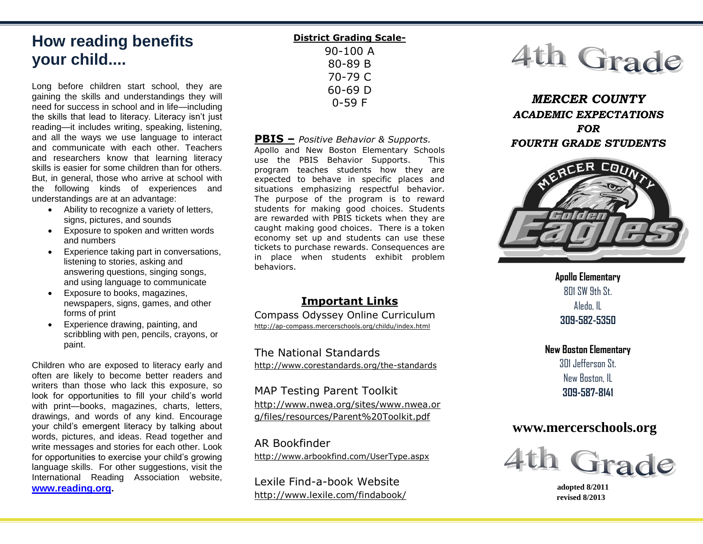# **How reading benefits your child....**

Long before children start school, they are gaining the skills and understandings they will need for success in school and in life—including the skills that lead to literacy. Literacy isn't just reading—it includes writing, speaking, listening, and all the ways we use language to interact and communicate with each other. Teachers and researchers know that learning literacy skills is easier for some children than for others. But, in general, those who arrive at school with the following kinds of experiences and understandings are at an advantage:

- Ability to recognize a variety of letters, signs, pictures, and sounds
- Exposure to spoken and written words and numbers
- Experience taking part in conversations, listening to stories, asking and answering questions, singing songs, and using language to communicate
- Exposure to books, magazines, newspapers, signs, games, and other forms of print
- Experience drawing, painting, and scribbling with pen, pencils, crayons, or paint.

Children who are exposed to literacy early and often are likely to become better readers and writers than those who lack this exposure, so look for opportunities to fill your child's world with print—books, magazines, charts, letters, drawings, and words of any kind. Encourage your child's emergent literacy by talking about words, pictures, and ideas. Read together and write messages and stories for each other. Look for opportunities to exercise your child's growing language skills. For other suggestions, visit the International Reading Association website, **[www.reading.org.](http://www.reading.org/)**

**District Grading Scale-**90-100 A 80-89 B 70-79 C 60-69 D 0-59 F

#### **PBIS –** *Positive Behavior & Supports.*

Apollo and New Boston Elementary Schools use the PBIS Behavior Supports. This program teaches students how they are expected to behave in specific places and situations emphasizing respectful behavior. The purpose of the program is to reward students for making good choices. Students are rewarded with PBIS tickets when they are caught making good choices. There is a token economy set up and students can use these tickets to purchase rewards. Consequences are in place when students exhibit problem behaviors.

## **Important Links**

Compass Odyssey Online Curriculum http://ap-compass.mercerschools.org/childu/index.html

The National Standards http://www.corestandards.org/the-standards

## MAP Testing Parent Toolkit

[http://www.nwea.org/sites/www.nwea.or](http://www.nwea.org/sites/www.nwea.org/files/resources/Parent%20Toolkit.pdf) [g/files/resources/Parent%20Toolkit.pdf](http://www.nwea.org/sites/www.nwea.org/files/resources/Parent%20Toolkit.pdf)

#### AR Bookfinder

<http://www.arbookfind.com/UserType.aspx>

Lexile Find-a-book Website http://www.lexile.com/findabook/



*MERCER COUNTY ACADEMIC EXPECTATIONS FOR FOURTH GRADE STUDENTS*



**Apollo Elementary**  $R$  of SW 9th St. Aledo, IL **309-582-5350**

**New Boston Elementary** 301 Jefferson St. New Boston, IL **309-587-8141**

## **www.mercerschools.org**



 **adopted 8/2011 revised 8/2013**